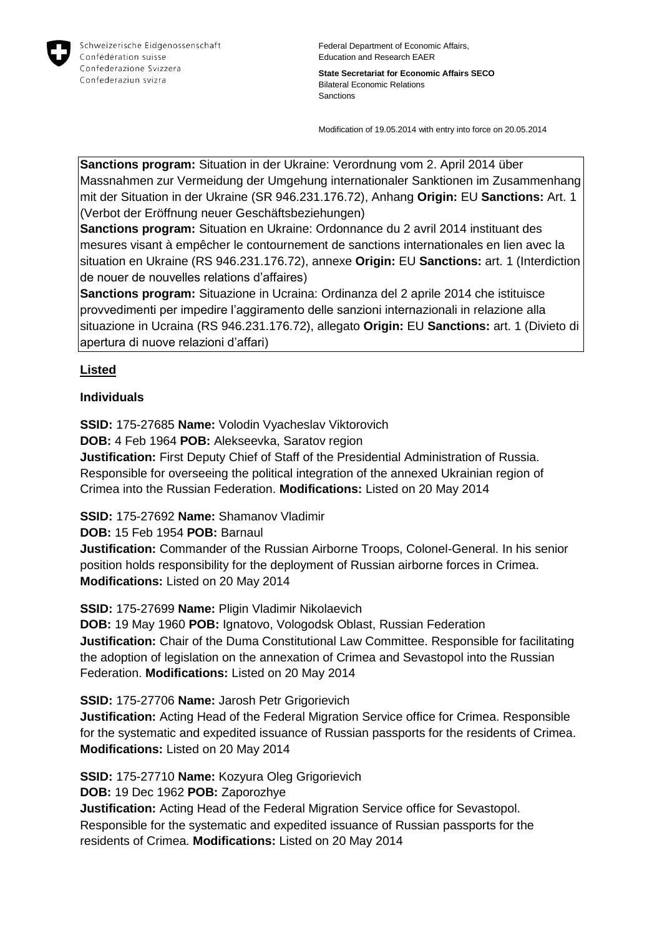

Federal Department of Economic Affairs, Education and Research EAER

**State Secretariat for Economic Affairs SECO** Bilateral Economic Relations Sanctions

Modification of 19.05.2014 with entry into force on 20.05.2014

**Sanctions program:** Situation in der Ukraine: Verordnung vom 2. April 2014 über Massnahmen zur Vermeidung der Umgehung internationaler Sanktionen im Zusammenhang mit der Situation in der Ukraine (SR 946.231.176.72), Anhang **Origin:** EU **Sanctions:** Art. 1 (Verbot der Eröffnung neuer Geschäftsbeziehungen)

**Sanctions program:** Situation en Ukraine: Ordonnance du 2 avril 2014 instituant des mesures visant à empêcher le contournement de sanctions internationales en lien avec la situation en Ukraine (RS 946.231.176.72), annexe **Origin:** EU **Sanctions:** art. 1 (Interdiction de nouer de nouvelles relations d'affaires)

**Sanctions program:** Situazione in Ucraina: Ordinanza del 2 aprile 2014 che istituisce provvedimenti per impedire l'aggiramento delle sanzioni internazionali in relazione alla situazione in Ucraina (RS 946.231.176.72), allegato **Origin:** EU **Sanctions:** art. 1 (Divieto di apertura di nuove relazioni d'affari)

## **Listed**

#### **Individuals**

**SSID:** 175-27685 **Name:** Volodin Vyacheslav Viktorovich

**DOB:** 4 Feb 1964 **POB:** Alekseevka, Saratov region

**Justification:** First Deputy Chief of Staff of the Presidential Administration of Russia. Responsible for overseeing the political integration of the annexed Ukrainian region of Crimea into the Russian Federation. **Modifications:** Listed on 20 May 2014

**SSID:** 175-27692 **Name:** Shamanov Vladimir

**DOB:** 15 Feb 1954 **POB:** Barnaul

**Justification:** Commander of the Russian Airborne Troops, Colonel-General. In his senior position holds responsibility for the deployment of Russian airborne forces in Crimea. **Modifications:** Listed on 20 May 2014

**SSID:** 175-27699 **Name:** Pligin Vladimir Nikolaevich

**DOB:** 19 May 1960 **POB:** Ignatovo, Vologodsk Oblast, Russian Federation **Justification:** Chair of the Duma Constitutional Law Committee. Responsible for facilitating the adoption of legislation on the annexation of Crimea and Sevastopol into the Russian Federation. **Modifications:** Listed on 20 May 2014

**SSID:** 175-27706 **Name:** Jarosh Petr Grigorievich

**Justification:** Acting Head of the Federal Migration Service office for Crimea. Responsible for the systematic and expedited issuance of Russian passports for the residents of Crimea. **Modifications:** Listed on 20 May 2014

**SSID:** 175-27710 **Name:** Kozyura Oleg Grigorievich

**DOB:** 19 Dec 1962 **POB:** Zaporozhye

**Justification:** Acting Head of the Federal Migration Service office for Sevastopol. Responsible for the systematic and expedited issuance of Russian passports for the residents of Crimea. **Modifications:** Listed on 20 May 2014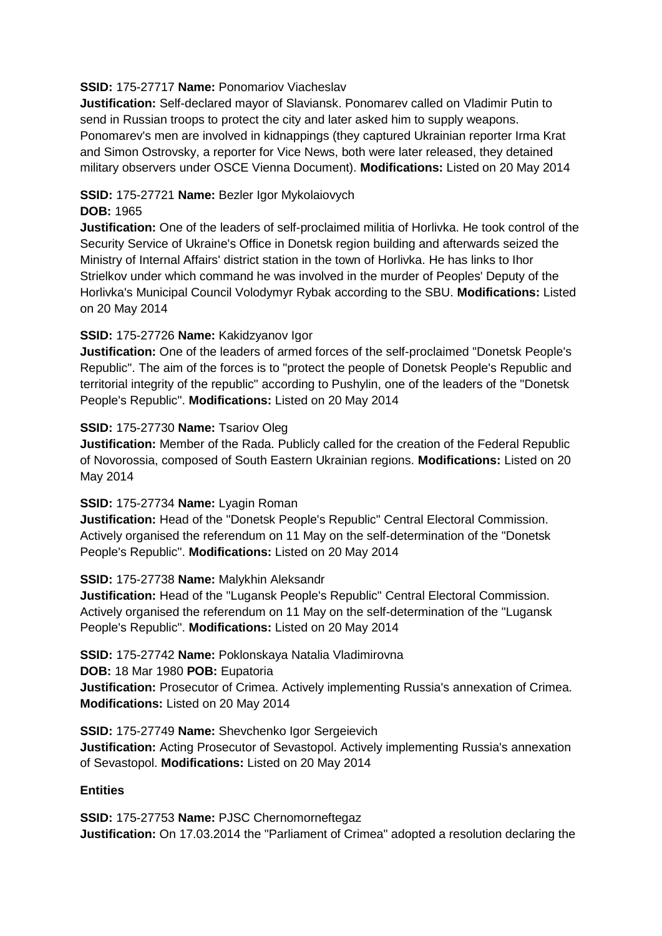### **SSID:** 175-27717 **Name:** Ponomariov Viacheslav

**Justification:** Self-declared mayor of Slaviansk. Ponomarev called on Vladimir Putin to send in Russian troops to protect the city and later asked him to supply weapons. Ponomarev's men are involved in kidnappings (they captured Ukrainian reporter Irma Krat and Simon Ostrovsky, a reporter for Vice News, both were later released, they detained military observers under OSCE Vienna Document). **Modifications:** Listed on 20 May 2014

# **SSID:** 175-27721 **Name:** Bezler Igor Mykolaiovych

### **DOB:** 1965

**Justification:** One of the leaders of self-proclaimed militia of Horlivka. He took control of the Security Service of Ukraine's Office in Donetsk region building and afterwards seized the Ministry of Internal Affairs' district station in the town of Horlivka. He has links to Ihor Strielkov under which command he was involved in the murder of Peoples' Deputy of the Horlivka's Municipal Council Volodymyr Rybak according to the SBU. **Modifications:** Listed on 20 May 2014

## **SSID:** 175-27726 **Name:** Kakidzyanov Igor

**Justification:** One of the leaders of armed forces of the self-proclaimed "Donetsk People's Republic". The aim of the forces is to "protect the people of Donetsk People's Republic and territorial integrity of the republic" according to Pushylin, one of the leaders of the "Donetsk People's Republic". **Modifications:** Listed on 20 May 2014

#### **SSID:** 175-27730 **Name:** Tsariov Oleg

**Justification:** Member of the Rada. Publicly called for the creation of the Federal Republic of Novorossia, composed of South Eastern Ukrainian regions. **Modifications:** Listed on 20 May 2014

## **SSID:** 175-27734 **Name:** Lyagin Roman

**Justification:** Head of the "Donetsk People's Republic" Central Electoral Commission. Actively organised the referendum on 11 May on the self-determination of the "Donetsk People's Republic". **Modifications:** Listed on 20 May 2014

## **SSID:** 175-27738 **Name:** Malykhin Aleksandr

**Justification:** Head of the "Lugansk People's Republic" Central Electoral Commission. Actively organised the referendum on 11 May on the self-determination of the "Lugansk People's Republic". **Modifications:** Listed on 20 May 2014

#### **SSID:** 175-27742 **Name:** Poklonskaya Natalia Vladimirovna

**DOB:** 18 Mar 1980 **POB:** Eupatoria

**Justification:** Prosecutor of Crimea. Actively implementing Russia's annexation of Crimea. **Modifications:** Listed on 20 May 2014

**SSID:** 175-27749 **Name:** Shevchenko Igor Sergeievich **Justification:** Acting Prosecutor of Sevastopol. Actively implementing Russia's annexation of Sevastopol. **Modifications:** Listed on 20 May 2014

## **Entities**

**SSID:** 175-27753 **Name:** PJSC Chernomorneftegaz **Justification:** On 17.03.2014 the "Parliament of Crimea" adopted a resolution declaring the